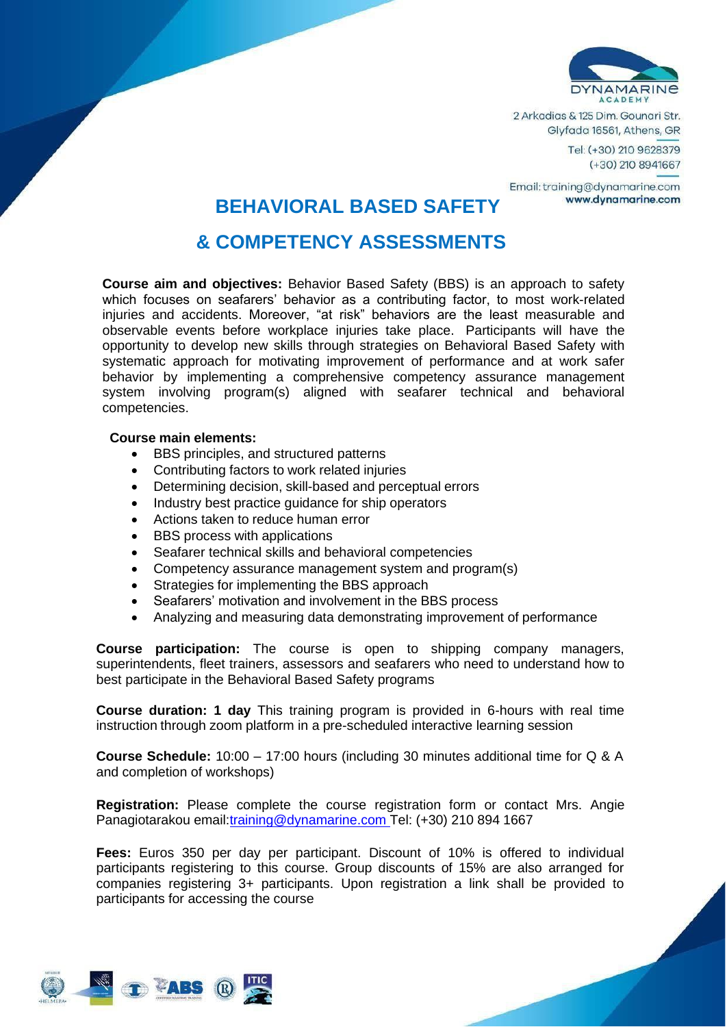

2 Arkadias & 125 Dim. Gounari Str. Glyfada 16561, Athens, GR

> Tel: (+30) 210 9628379  $(+30)$  210 8941667

Email: training@dynamarine.com www.dvnamarine.com

## **BEHAVIORAL BASED SAFETY**

## **& COMPETENCY ASSESSMENTS**

**Course aim and objectives:** Behavior Based Safety (BBS) is an approach to safety which focuses on seafarers' behavior as a contributing factor, to most work-related injuries and accidents. Moreover, "at risk" behaviors are the least measurable and observable events before workplace injuries take place. Participants will have the opportunity to develop new skills through strategies on Behavioral Based Safety with systematic approach for motivating improvement of performance and at work safer behavior by implementing a comprehensive competency assurance management system involving program(s) aligned with seafarer technical and behavioral competencies.

## **Course main elements:**

- BBS principles, and structured patterns
- Contributing factors to work related injuries
- Determining decision, skill-based and perceptual errors
- Industry best practice guidance for ship operators
- Actions taken to reduce human error
- BBS process with applications
- Seafarer technical skills and behavioral competencies
- Competency assurance management system and program(s)
- Strategies for implementing the BBS approach
- Seafarers' motivation and involvement in the BBS process
- Analyzing and measuring data demonstrating improvement of performance

**Course participation:** The course is open to shipping company managers, superintendents, fleet trainers, assessors and seafarers who need to understand how to best participate in the Behavioral Based Safety programs

**Course duration: 1 day** This training program is provided in 6-hours with real time instruction through zoom platform in a pre-scheduled interactive learning session

**Course Schedule:** 10:00 – 17:00 hours (including 30 minutes additional time for Q & A and completion of workshops)

**Registration:** Please complete the course registration form or contact Mrs. Angie Panagiotarakou email[:training@dynamarine.com](mailto:training@dynamarine.com) Tel: (+30) 210 894 1667

**Fees:** Euros 350 per day per participant. Discount of 10% is offered to individual participants registering to this course. Group discounts of 15% are also arranged for companies registering 3+ participants. Upon registration a link shall be provided to participants for accessing the course